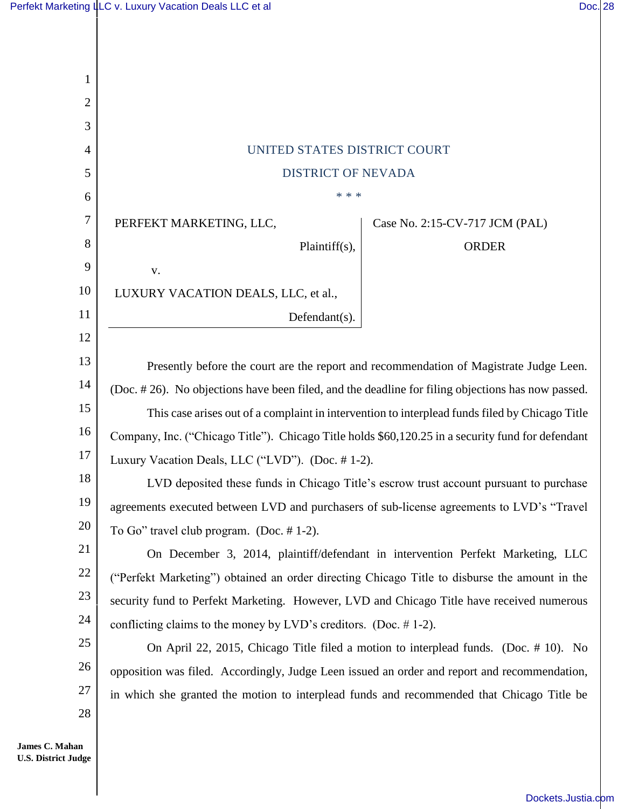| 1  |                                                                                                   |
|----|---------------------------------------------------------------------------------------------------|
| 2  |                                                                                                   |
| 3  |                                                                                                   |
| 4  | UNITED STATES DISTRICT COURT                                                                      |
| 5  | <b>DISTRICT OF NEVADA</b>                                                                         |
| 6  | * * *                                                                                             |
| 7  | PERFEKT MARKETING, LLC,<br>Case No. 2:15-CV-717 JCM (PAL)                                         |
| 8  | Plaintiff(s),<br><b>ORDER</b>                                                                     |
| 9  | V.                                                                                                |
| 10 | LUXURY VACATION DEALS, LLC, et al.,                                                               |
| 11 | Defendant(s).                                                                                     |
| 12 |                                                                                                   |
| 13 | Presently before the court are the report and recommendation of Magistrate Judge Leen.            |
| 14 | (Doc. #26). No objections have been filed, and the deadline for filing objections has now passed. |
| 15 | This case arises out of a complaint in intervention to interplead funds filed by Chicago Title    |
| 16 | Company, Inc. ("Chicago Title"). Chicago Title holds \$60,120.25 in a security fund for defendant |
| 17 | Luxury Vacation Deals, LLC ("LVD"). (Doc. #1-2).                                                  |
| 18 | LVD deposited these funds in Chicago Title's escrow trust account pursuant to purchase            |
| 19 | agreements executed between LVD and purchasers of sub-license agreements to LVD's "Travel         |
| 20 | To Go" travel club program. (Doc. $# 1-2$ ).                                                      |
| 21 | On December 3, 2014, plaintiff/defendant in intervention Perfekt Marketing, LLC                   |
| 22 | ("Perfekt Marketing") obtained an order directing Chicago Title to disburse the amount in the     |
| 23 | security fund to Perfekt Marketing. However, LVD and Chicago Title have received numerous         |
| 24 | conflicting claims to the money by LVD's creditors. (Doc. $# 1-2$ ).                              |
| 25 | On April 22, 2015, Chicago Title filed a motion to interplead funds. (Doc. #10). No               |
| 26 | opposition was filed. Accordingly, Judge Leen issued an order and report and recommendation,      |
| 27 | in which she granted the motion to interplead funds and recommended that Chicago Title be         |
| 28 |                                                                                                   |
|    |                                                                                                   |

**James C. Mahan U.S. District Judge**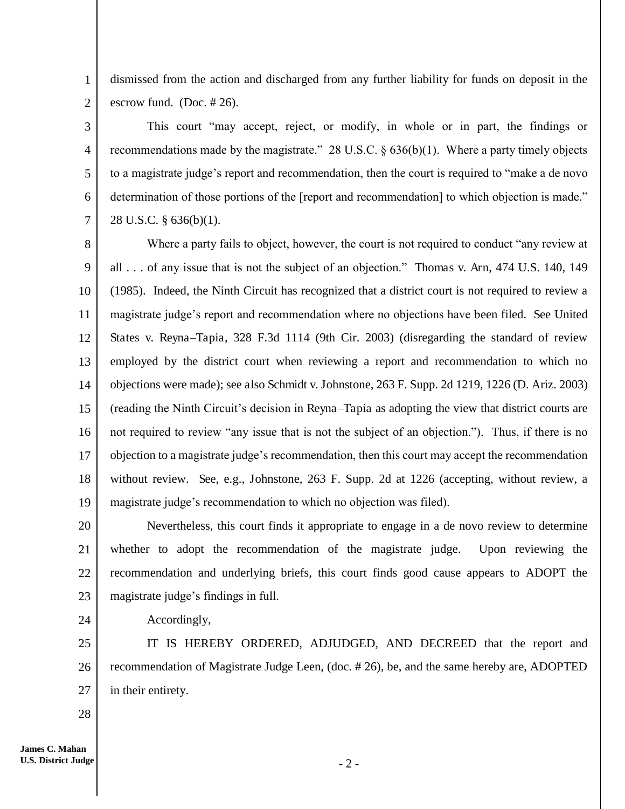1 2 dismissed from the action and discharged from any further liability for funds on deposit in the escrow fund. (Doc. # 26).

3 4 5 6 7 This court "may accept, reject, or modify, in whole or in part, the findings or recommendations made by the magistrate." 28 U.S.C. § 636(b)(1). Where a party timely objects to a magistrate judge's report and recommendation, then the court is required to "make a de novo determination of those portions of the [report and recommendation] to which objection is made." 28 U.S.C. § 636(b)(1).

8 9 10 11 12 13 14 15 16 17 18 19 Where a party fails to object, however, the court is not required to conduct "any review at all . . . of any issue that is not the subject of an objection." Thomas v. Arn, 474 U.S. 140, 149 (1985). Indeed, the Ninth Circuit has recognized that a district court is not required to review a magistrate judge's report and recommendation where no objections have been filed. See United States v. Reyna*–*Tapia, 328 F.3d 1114 (9th Cir. 2003) (disregarding the standard of review employed by the district court when reviewing a report and recommendation to which no objections were made); see also Schmidt v. Johnstone, 263 F. Supp. 2d 1219, 1226 (D. Ariz. 2003) (reading the Ninth Circuit's decision in Reyna*–*Tapia as adopting the view that district courts are not required to review "any issue that is not the subject of an objection."). Thus, if there is no objection to a magistrate judge's recommendation, then this court may accept the recommendation without review. See, e.g., Johnstone, 263 F. Supp. 2d at 1226 (accepting, without review, a magistrate judge's recommendation to which no objection was filed).

20 21 22 23 Nevertheless, this court finds it appropriate to engage in a de novo review to determine whether to adopt the recommendation of the magistrate judge. Upon reviewing the recommendation and underlying briefs, this court finds good cause appears to ADOPT the magistrate judge's findings in full.

Accordingly,

25 26 27 IT IS HEREBY ORDERED, ADJUDGED, AND DECREED that the report and recommendation of Magistrate Judge Leen, (doc. # 26), be, and the same hereby are, ADOPTED in their entirety.

28

24

 $-2-$